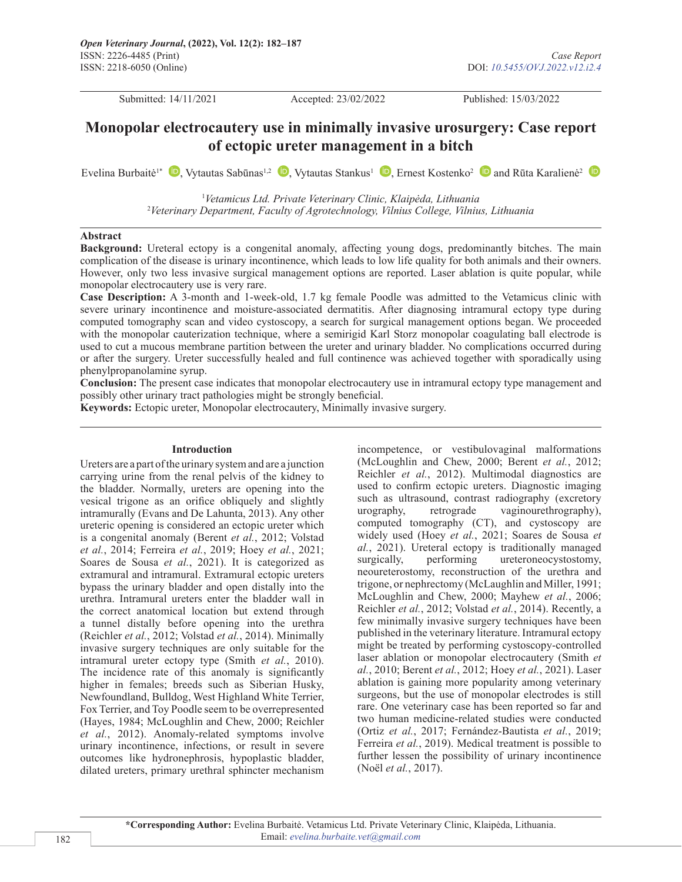Submitted: 14/11/2021 Accepted: 23/02/2022 Published: 15/03/2022

# **Monopolar electrocautery use in minimally invasive urosurgery: Case report of ectopic ureter management in a bitch**

EvelinaBurbaitė<sup>1\*</sup>  $\mathbb{D}$ [,](https://orcid.org/0000-0002-2087-0834) Vytautas Sabūnas<sup>1,2</sup>  $\mathbb{D}$ , Vytautas Stankus<sup>1</sup>  $\mathbb{D}$ , Ernest Kostenko<sup>2</sup>  $\mathbb{D}$  and Rūta Karalienė<sup>2</sup>  $\mathbb{D}$ 

1 *Vetamicus Ltd. Private Veterinary Clinic, Klaipėda, Lithuania* 2 *Veterinary Department, Faculty of Agrotechnology, Vilnius College, Vilnius, Lithuania*

#### **Abstract**

**Background:** Ureteral ectopy is a congenital anomaly, affecting young dogs, predominantly bitches. The main complication of the disease is urinary incontinence, which leads to low life quality for both animals and their owners. However, only two less invasive surgical management options are reported. Laser ablation is quite popular, while monopolar electrocautery use is very rare.

**Case Description:** A 3-month and 1-week-old, 1.7 kg female Poodle was admitted to the Vetamicus clinic with severe urinary incontinence and moisture-associated dermatitis. After diagnosing intramural ectopy type during computed tomography scan and video cystoscopy, a search for surgical management options began. We proceeded with the monopolar cauterization technique, where a semirigid Karl Storz monopolar coagulating ball electrode is used to cut a mucous membrane partition between the ureter and urinary bladder. No complications occurred during or after the surgery. Ureter successfully healed and full continence was achieved together with sporadically using phenylpropanolamine syrup.

**Conclusion:** The present case indicates that monopolar electrocautery use in intramural ectopy type management and possibly other urinary tract pathologies might be strongly beneficial.

**Keywords:** Ectopic ureter, Monopolar electrocautery, Minimally invasive surgery.

#### **Introduction**

Ureters are a part of the urinary system and are a junction carrying urine from the renal pelvis of the kidney to the bladder. Normally, ureters are opening into the vesical trigone as an orifice obliquely and slightly intramurally (Evans and De Lahunta, 2013). Any other ureteric opening is considered an ectopic ureter which is a congenital anomaly (Berent *et al.*, 2012; Volstad *et al.*, 2014; Ferreira *et al.*, 2019; Hoey *et al.*, 2021; Soares de Sousa *et al.*, 2021). It is categorized as extramural and intramural. Extramural ectopic ureters bypass the urinary bladder and open distally into the urethra. Intramural ureters enter the bladder wall in the correct anatomical location but extend through a tunnel distally before opening into the urethra (Reichler *et al.*, 2012; Volstad *et al.*, 2014). Minimally invasive surgery techniques are only suitable for the intramural ureter ectopy type (Smith *et al.*, 2010). The incidence rate of this anomaly is significantly higher in females; breeds such as Siberian Husky, Newfoundland, Bulldog, West Highland White Terrier, Fox Terrier, and Toy Poodle seem to be overrepresented (Hayes, 1984; McLoughlin and Chew, 2000; Reichler *et al.*, 2012). Anomaly-related symptoms involve urinary incontinence, infections, or result in severe outcomes like hydronephrosis, hypoplastic bladder, dilated ureters, primary urethral sphincter mechanism

incompetence, or vestibulovaginal malformations (McLoughlin and Chew, 2000; Berent *et al.*, 2012; Reichler *et al.*, 2012). Multimodal diagnostics are used to confirm ectopic ureters. Diagnostic imaging such as ultrasound, contrast radiography (excretory urography, retrograde vaginourethrography), computed tomography (CT), and cystoscopy are widely used (Hoey *et al.*, 2021; Soares de Sousa *et al.*, 2021). Ureteral ectopy is traditionally managed surgically, performing ureteroneocystostomy, neoureterostomy, reconstruction of the urethra and trigone, or nephrectomy (McLaughlin and Miller, 1991; McLoughlin and Chew, 2000; Mayhew *et al.*, 2006; Reichler *et al.*, 2012; Volstad *et al.*, 2014). Recently, a few minimally invasive surgery techniques have been published in the veterinary literature. Intramural ectopy might be treated by performing cystoscopy-controlled laser ablation or monopolar electrocautery (Smith *et al.*, 2010; Berent *et al.*, 2012; Hoey *et al.*, 2021). Laser ablation is gaining more popularity among veterinary surgeons, but the use of monopolar electrodes is still rare. One veterinary case has been reported so far and two human medicine-related studies were conducted (Ortiz *et al.*, 2017; Fernández-Bautista *et al.*, 2019; Ferreira *et al.*, 2019). Medical treatment is possible to further lessen the possibility of urinary incontinence (Noël *et al.*, 2017).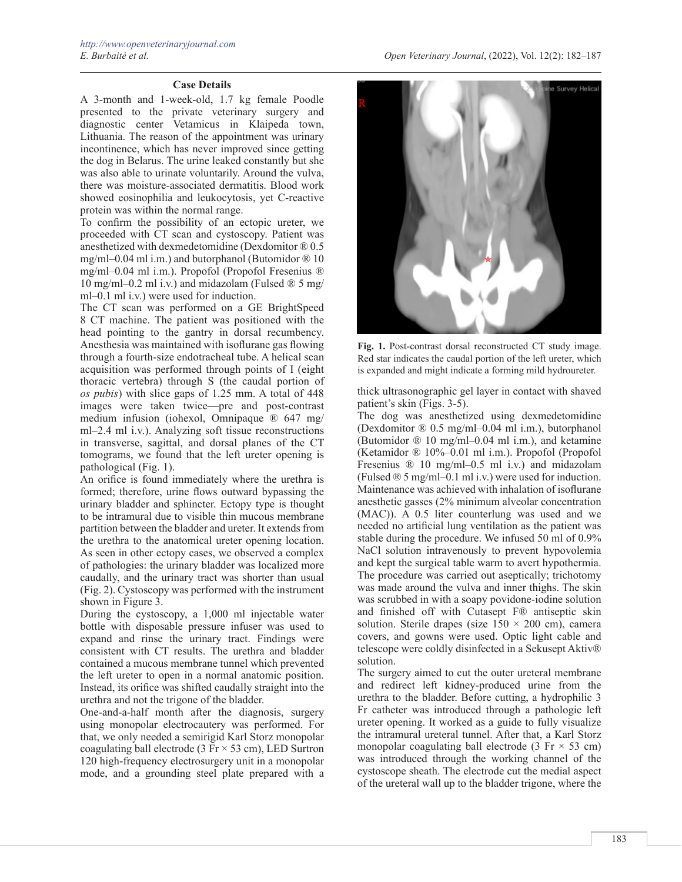### **Case Details**

A 3-month and 1-week-old, 1.7 kg female Poodle presented to the private veterinary surgery and diagnostic center Vetamicus in Klaipeda town, Lithuania. The reason of the appointment was urinary incontinence, which has never improved since getting the dog in Belarus. The urine leaked constantly but she was also able to urinate voluntarily. Around the vulva, there was moisture-associated dermatitis. Blood work showed eosinophilia and leukocytosis, yet C-reactive protein was within the normal range.

To confirm the possibility of an ectopic ureter, we proceeded with CT scan and cystoscopy. Patient was anesthetized with dexmedetomidine (Dexdomitor ® 0.5 mg/ml–0.04 ml i.m.) and butorphanol (Butomidor  $\Omega$  10 mg/ml–0.04 ml i.m.). Propofol (Propofol Fresenius ® 10 mg/ml–0.2 ml i.v.) and midazolam (Fulsed ® 5 mg/ ml–0.1 ml i.v.) were used for induction.

The CT scan was performed on a GE BrightSpeed 8 CT machine. The patient was positioned with the head pointing to the gantry in dorsal recumbency. Anesthesia was maintained with isoflurane gas flowing through a fourth-size endotracheal tube. A helical scan acquisition was performed through points of I (eight thoracic vertebra) through S (the caudal portion of *os pubis*) with slice gaps of 1.25 mm. A total of 448 images were taken twice—pre and post-contrast medium infusion (iohexol, Omnipaque ® 647 mg/ ml–2.4 ml i.v.). Analyzing soft tissue reconstructions in transverse, sagittal, and dorsal planes of the CT tomograms, we found that the left ureter opening is pathological (Fig. 1).

An orifice is found immediately where the urethra is formed; therefore, urine flows outward bypassing the urinary bladder and sphincter. Ectopy type is thought to be intramural due to visible thin mucous membrane partition between the bladder and ureter. It extends from the urethra to the anatomical ureter opening location. As seen in other ectopy cases, we observed a complex of pathologies: the urinary bladder was localized more caudally, and the urinary tract was shorter than usual (Fig. 2). Cystoscopy was performed with the instrument shown in Figure 3.

During the cystoscopy, a 1,000 ml injectable water bottle with disposable pressure infuser was used to expand and rinse the urinary tract. Findings were consistent with CT results. The urethra and bladder contained a mucous membrane tunnel which prevented the left ureter to open in a normal anatomic position. Instead, its orifice was shifted caudally straight into the urethra and not the trigone of the bladder.

One-and-a-half month after the diagnosis, surgery using monopolar electrocautery was performed. For that, we only needed a semirigid Karl Storz monopolar coagulating ball electrode (3  $Fr \times 53$  cm), LED Surtron 120 high-frequency electrosurgery unit in a monopolar mode, and a grounding steel plate prepared with a



**Fig. 1.** Post-contrast dorsal reconstructed CT study image. Red star indicates the caudal portion of the left ureter, which is expanded and might indicate a forming mild hydroureter.

thick ultrasonographic gel layer in contact with shaved patient's skin (Figs. 3-5).

The dog was anesthetized using dexmedetomidine (Dexdomitor ® 0.5 mg/ml–0.04 ml i.m.), butorphanol (Butomidor ® 10 mg/ml–0.04 ml i.m.), and ketamine (Ketamidor ® 10%–0.01 ml i.m.). Propofol (Propofol Fresenius ® 10 mg/ml–0.5 ml i.v.) and midazolam (Fulsed ® 5 mg/ml–0.1 ml i.v.) were used for induction. Maintenance was achieved with inhalation of isoflurane anesthetic gasses (2% minimum alveolar concentration (MAC)). A 0.5 liter counterlung was used and we needed no artificial lung ventilation as the patient was stable during the procedure. We infused 50 ml of 0.9% NaCl solution intravenously to prevent hypovolemia and kept the surgical table warm to avert hypothermia. The procedure was carried out aseptically; trichotomy was made around the vulva and inner thighs. The skin was scrubbed in with a soapy povidone-iodine solution and finished off with Cutasept F® antiseptic skin solution. Sterile drapes (size  $150 \times 200$  cm), camera covers, and gowns were used. Optic light cable and telescope were coldly disinfected in a Sekusept Aktiv® solution.

The surgery aimed to cut the outer ureteral membrane and redirect left kidney-produced urine from the urethra to the bladder. Before cutting, a hydrophilic 3 Fr catheter was introduced through a pathologic left ureter opening. It worked as a guide to fully visualize the intramural ureteral tunnel. After that, a Karl Storz monopolar coagulating ball electrode  $(3 \text{ Fr} \times 53 \text{ cm})$ was introduced through the working channel of the cystoscope sheath. The electrode cut the medial aspect of the ureteral wall up to the bladder trigone, where the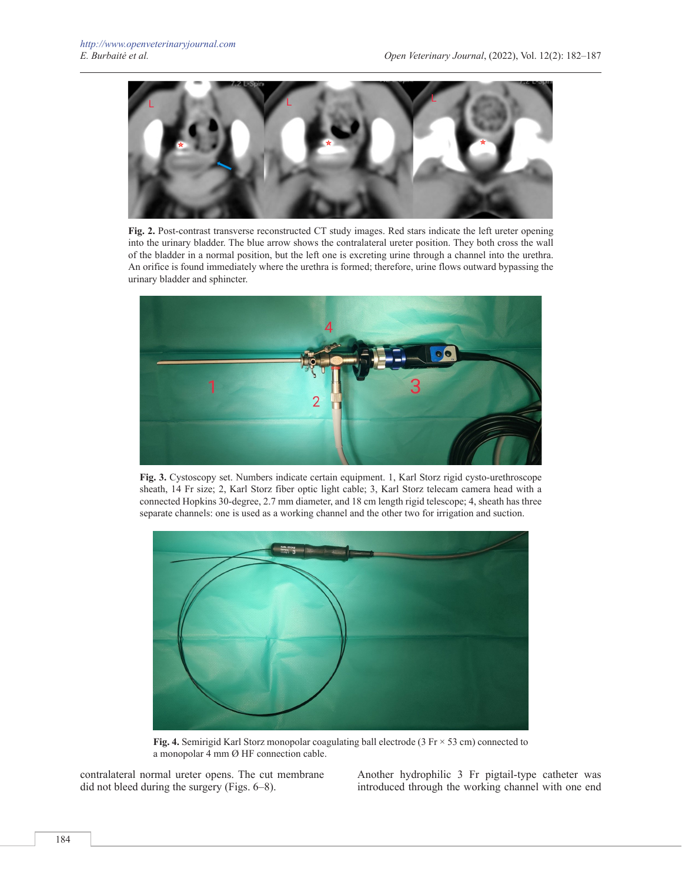

**Fig. 2.** Post-contrast transverse reconstructed CT study images. Red stars indicate the left ureter opening into the urinary bladder. The blue arrow shows the contralateral ureter position. They both cross the wall of the bladder in a normal position, but the left one is excreting urine through a channel into the urethra. An orifice is found immediately where the urethra is formed; therefore, urine flows outward bypassing the urinary bladder and sphincter.



**Fig. 3.** Cystoscopy set. Numbers indicate certain equipment. 1, Karl Storz rigid cysto-urethroscope sheath, 14 Fr size; 2, Karl Storz fiber optic light cable; 3, Karl Storz telecam camera head with a connected Hopkins 30-degree, 2.7 mm diameter, and 18 cm length rigid telescope; 4, sheath has three separate channels: one is used as a working channel and the other two for irrigation and suction.



**Fig. 4.** Semirigid Karl Storz monopolar coagulating ball electrode (3 Fr × 53 cm) connected to a monopolar 4 mm Ø HF connection cable.

contralateral normal ureter opens. The cut membrane did not bleed during the surgery (Figs. 6–8).

Another hydrophilic 3 Fr pigtail-type catheter was introduced through the working channel with one end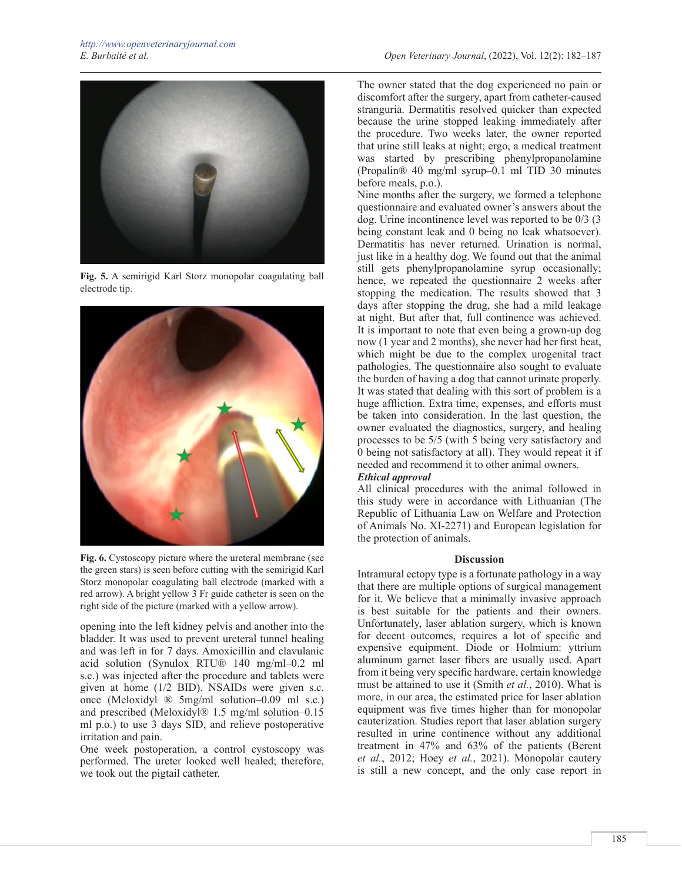

**Fig. 5.** A semirigid Karl Storz monopolar coagulating ball electrode tip.



**Fig. 6.** Cystoscopy picture where the ureteral membrane (see the green stars) is seen before cutting with the semirigid Karl Storz monopolar coagulating ball electrode (marked with a red arrow). A bright yellow 3 Fr guide catheter is seen on the right side of the picture (marked with a yellow arrow).

opening into the left kidney pelvis and another into the bladder. It was used to prevent ureteral tunnel healing and was left in for 7 days. Amoxicillin and clavulanic acid solution (Synulox RTU® 140 mg/ml–0.2 ml s.c.) was injected after the procedure and tablets were given at home (1/2 BID). NSAIDs were given s.c. once (Meloxidyl ® 5mg/ml solution–0.09 ml s.c.) and prescribed (Meloxidyl® 1.5 mg/ml solution–0.15 ml p.o.) to use 3 days SID, and relieve postoperative irritation and pain.

One week postoperation, a control cystoscopy was performed. The ureter looked well healed; therefore, we took out the pigtail catheter.

The owner stated that the dog experienced no pain or discomfort after the surgery, apart from catheter-caused stranguria. Dermatitis resolved quicker than expected because the urine stopped leaking immediately after the procedure. Two weeks later, the owner reported that urine still leaks at night; ergo, a medical treatment was started by prescribing phenylpropanolamine (Propalin® 40 mg/ml syrup–0.1 ml TID 30 minutes before meals, p.o.).

Nine months after the surgery, we formed a telephone questionnaire and evaluated owner's answers about the dog. Urine incontinence level was reported to be 0/3 (3 being constant leak and 0 being no leak whatsoever). Dermatitis has never returned. Urination is normal, just like in a healthy dog. We found out that the animal still gets phenylpropanolamine syrup occasionally; hence, we repeated the questionnaire 2 weeks after stopping the medication. The results showed that 3 days after stopping the drug, she had a mild leakage at night. But after that, full continence was achieved. It is important to note that even being a grown-up dog now (1 year and 2 months), she never had her first heat, which might be due to the complex urogenital tract pathologies. The questionnaire also sought to evaluate the burden of having a dog that cannot urinate properly. It was stated that dealing with this sort of problem is a huge affliction. Extra time, expenses, and efforts must be taken into consideration. In the last question, the owner evaluated the diagnostics, surgery, and healing processes to be 5/5 (with 5 being very satisfactory and 0 being not satisfactory at all). They would repeat it if needed and recommend it to other animal owners. *Ethical approval*

All clinical procedures with the animal followed in this study were in accordance with Lithuanian (The Republic of Lithuania Law on Welfare and Protection of Animals No. XI-2271) and European legislation for the protection of animals.

## **Discussion**

Intramural ectopy type is a fortunate pathology in a way that there are multiple options of surgical management for it. We believe that a minimally invasive approach is best suitable for the patients and their owners. Unfortunately, laser ablation surgery, which is known for decent outcomes, requires a lot of specific and expensive equipment. Diode or Holmium: yttrium aluminum garnet laser fibers are usually used. Apart from it being very specific hardware, certain knowledge must be attained to use it (Smith *et al.*, 2010). What is more, in our area, the estimated price for laser ablation equipment was five times higher than for monopolar cauterization. Studies report that laser ablation surgery resulted in urine continence without any additional treatment in 47% and 63% of the patients (Berent *et al.*, 2012; Hoey *et al.*, 2021). Monopolar cautery is still a new concept, and the only case report in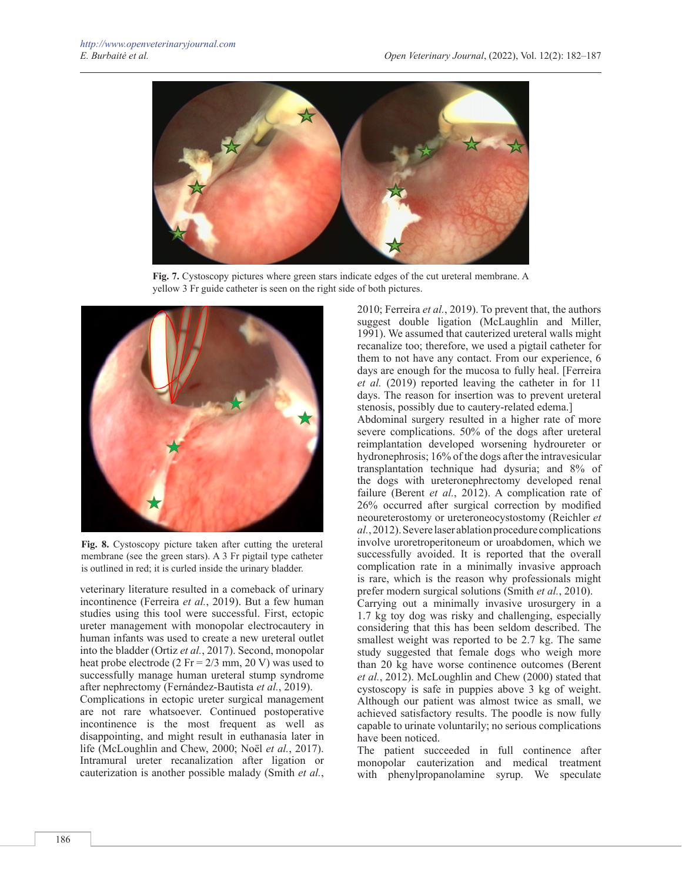

**Fig. 7.** Cystoscopy pictures where green stars indicate edges of the cut ureteral membrane. A yellow 3 Fr guide catheter is seen on the right side of both pictures.



**Fig. 8.** Cystoscopy picture taken after cutting the ureteral membrane (see the green stars). A 3 Fr pigtail type catheter is outlined in red; it is curled inside the urinary bladder.

veterinary literature resulted in a comeback of urinary incontinence (Ferreira *et al.*, 2019). But a few human studies using this tool were successful. First, ectopic ureter management with monopolar electrocautery in human infants was used to create a new ureteral outlet into the bladder (Ortiz *et al.*, 2017). Second, monopolar heat probe electrode (2 Fr =  $2/3$  mm, 20 V) was used to successfully manage human ureteral stump syndrome after nephrectomy (Fernández-Bautista *et al.*, 2019).

Complications in ectopic ureter surgical management are not rare whatsoever. Continued postoperative incontinence is the most frequent as well as disappointing, and might result in euthanasia later in life (McLoughlin and Chew, 2000; Noël *et al.*, 2017). Intramural ureter recanalization after ligation or cauterization is another possible malady (Smith *et al.*, 2010; Ferreira *et al.*, 2019). To prevent that, the authors suggest double ligation (McLaughlin and Miller, 1991). We assumed that cauterized ureteral walls might recanalize too; therefore, we used a pigtail catheter for them to not have any contact. From our experience, 6 days are enough for the mucosa to fully heal. [Ferreira *et al.* (2019) reported leaving the catheter in for 11 days. The reason for insertion was to prevent ureteral stenosis, possibly due to cautery-related edema.] Abdominal surgery resulted in a higher rate of more severe complications. 50% of the dogs after ureteral reimplantation developed worsening hydroureter or hydronephrosis; 16% of the dogs after the intravesicular transplantation technique had dysuria; and 8% of the dogs with ureteronephrectomy developed renal failure (Berent *et al.*, 2012). A complication rate of 26% occurred after surgical correction by modified neoureterostomy or ureteroneocystostomy (Reichler *et al.*, 2012). Severe laser ablation procedure complications involve uroretroperitoneum or uroabdomen, which we successfully avoided. It is reported that the overall complication rate in a minimally invasive approach is rare, which is the reason why professionals might prefer modern surgical solutions (Smith *et al.*, 2010). Carrying out a minimally invasive urosurgery in a

1.7 kg toy dog was risky and challenging, especially considering that this has been seldom described. The smallest weight was reported to be 2.7 kg. The same study suggested that female dogs who weigh more than 20 kg have worse continence outcomes (Berent *et al.*, 2012). McLoughlin and Chew (2000) stated that cystoscopy is safe in puppies above 3 kg of weight. Although our patient was almost twice as small, we achieved satisfactory results. The poodle is now fully capable to urinate voluntarily; no serious complications have been noticed.

The patient succeeded in full continence after monopolar cauterization and medical treatment with phenylpropanolamine syrup. We speculate